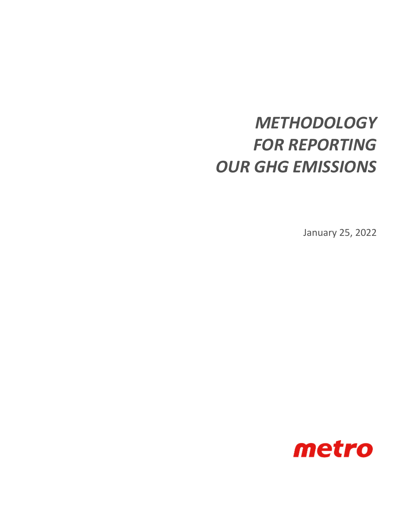# *METHODOLOGY FOR REPORTING OUR GHG EMISSIONS*

January 25, 2022

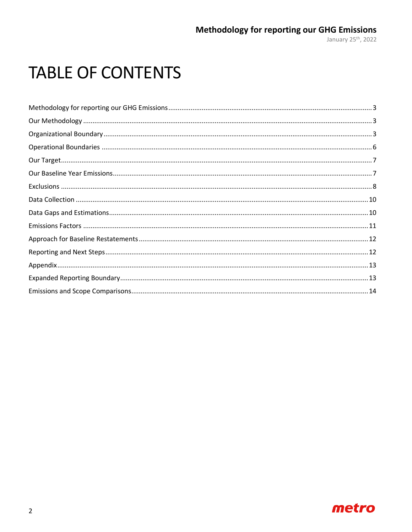# **TABLE OF CONTENTS**

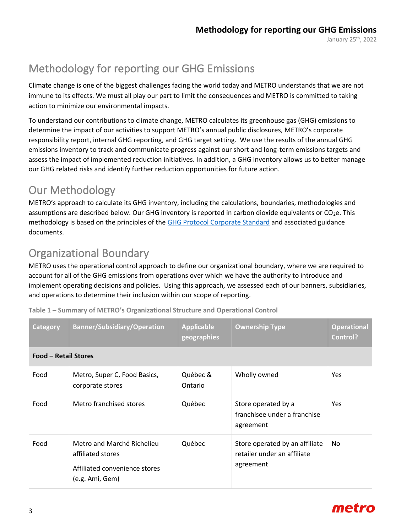# <span id="page-2-0"></span>Methodology for reporting our GHG Emissions

Climate change is one of the biggest challenges facing the world today and METRO understands that we are not immune to its effects. We must all play our part to limit the consequences and METRO is committed to taking action to minimize our environmental impacts.

To understand our contributions to climate change, METRO calculates its greenhouse gas (GHG) emissions to determine the impact of our activities to support METRO's annual public disclosures, METRO's corporate responsibility report, internal GHG reporting, and GHG target setting. We use the results of the annual GHG emissions inventory to track and communicate progress against our short and long-term emissions targets and assess the impact of implemented reduction initiatives. In addition, a GHG inventory allows us to better manage our GHG related risks and identify further reduction opportunities for future action.

### <span id="page-2-1"></span>Our Methodology

METRO's approach to calculate its GHG inventory, including the calculations, boundaries, methodologies and assumptions are described below. Our GHG inventory is reported in carbon dioxide equivalents or CO<sub>2</sub>e. This methodology is based on the principles of the [GHG Protocol Corporate Standard](https://ghgprotocol.org/corporate-standard) and associated guidance documents.

## <span id="page-2-2"></span>Organizational Boundary

METRO uses the [operational control approach](https://ghgprotocol.org/sites/default/files/standards/ghg-protocol-revised.pdf) to define our organizational boundary, where we are required to account for all of the GHG emissions from operations over which we have the authority to introduce and implement operating decisions and policies. Using this approach, we assessed each of our banners, subsidiaries, and operations to determine their inclusion within our scope of reporting.

| Category                    | <b>Banner/Subsidiary/Operation</b>                                                                  | <b>Applicable</b><br>geographies | <b>Ownership Type</b>                                                      | <b>Operational</b><br>Control? |
|-----------------------------|-----------------------------------------------------------------------------------------------------|----------------------------------|----------------------------------------------------------------------------|--------------------------------|
| <b>Food - Retail Stores</b> |                                                                                                     |                                  |                                                                            |                                |
| Food                        | Metro, Super C, Food Basics,<br>corporate stores                                                    | Québec &<br>Ontario              | Wholly owned                                                               | <b>Yes</b>                     |
| Food                        | Metro franchised stores                                                                             | Québec                           | Store operated by a<br>franchisee under a franchise<br>agreement           | <b>Yes</b>                     |
| Food                        | Metro and Marché Richelieu<br>affiliated stores<br>Affiliated convenience stores<br>(e.g. Ami, Gem) | Québec                           | Store operated by an affiliate<br>retailer under an affiliate<br>agreement | No.                            |

**Table 1 – Summary of METRO's Organizational Structure and Operational Control**

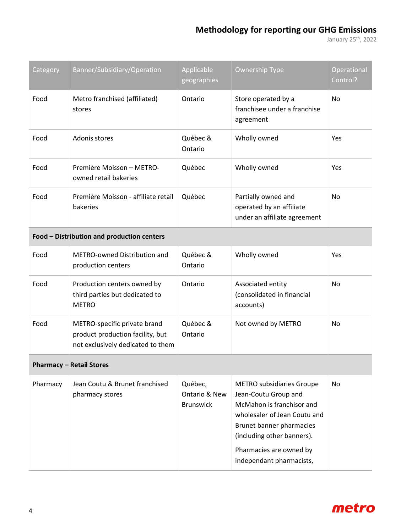### **Methodology for reporting our GHG Emissions**

January 25th, 2022

| Category | Banner/Subsidiary/Operation                                                                           | Applicable<br>geographies                    | <b>Ownership Type</b>                                                                                                                                                                                                                  | Operational<br>Control? |
|----------|-------------------------------------------------------------------------------------------------------|----------------------------------------------|----------------------------------------------------------------------------------------------------------------------------------------------------------------------------------------------------------------------------------------|-------------------------|
| Food     | Metro franchised (affiliated)<br>stores                                                               | Ontario                                      | Store operated by a<br>franchisee under a franchise<br>agreement                                                                                                                                                                       | No                      |
| Food     | Adonis stores                                                                                         | Québec &<br>Ontario                          | Wholly owned                                                                                                                                                                                                                           | Yes                     |
| Food     | Première Moisson - METRO-<br>owned retail bakeries                                                    | Québec                                       | Wholly owned<br>Yes                                                                                                                                                                                                                    |                         |
| Food     | Première Moisson - affiliate retail<br>bakeries                                                       | Québec                                       | Partially owned and<br>operated by an affiliate<br>under an affiliate agreement                                                                                                                                                        | No                      |
|          | Food - Distribution and production centers                                                            |                                              |                                                                                                                                                                                                                                        |                         |
| Food     | METRO-owned Distribution and<br>production centers                                                    | Québec &<br>Ontario                          | Wholly owned                                                                                                                                                                                                                           | Yes                     |
| Food     | Production centers owned by<br>third parties but dedicated to<br><b>METRO</b>                         | Ontario                                      | Associated entity<br>(consolidated in financial<br>accounts)                                                                                                                                                                           | No                      |
| Food     | METRO-specific private brand<br>product production facility, but<br>not exclusively dedicated to them | Québec &<br>Ontario                          | Not owned by METRO                                                                                                                                                                                                                     | No                      |
|          | <b>Pharmacy - Retail Stores</b>                                                                       |                                              |                                                                                                                                                                                                                                        |                         |
| Pharmacy | Jean Coutu & Brunet franchised<br>pharmacy stores                                                     | Québec,<br>Ontario & New<br><b>Brunswick</b> | <b>METRO subsidiaries Groupe</b><br>Jean-Coutu Group and<br>McMahon is franchisor and<br>wholesaler of Jean Coutu and<br>Brunet banner pharmacies<br>(including other banners).<br>Pharmacies are owned by<br>independant pharmacists, | No                      |

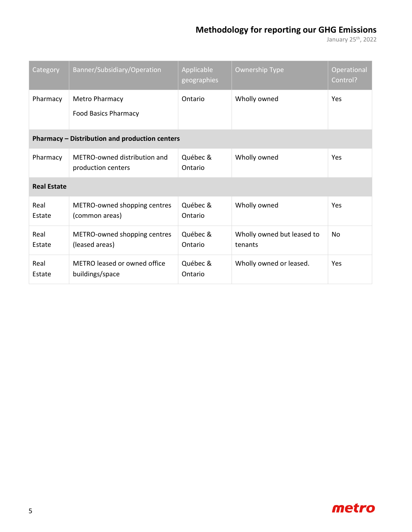### **Methodology for reporting our GHG Emissions**

January 25th, 2022

| Category           | Banner/Subsidiary/Operation                          | Applicable<br>geographies | <b>Ownership Type</b>                 | Operational<br>Control? |
|--------------------|------------------------------------------------------|---------------------------|---------------------------------------|-------------------------|
| Pharmacy           | <b>Metro Pharmacy</b><br><b>Food Basics Pharmacy</b> | Ontario                   | Wholly owned                          | Yes                     |
|                    | Pharmacy - Distribution and production centers       |                           |                                       |                         |
| Pharmacy           | METRO-owned distribution and<br>production centers   | Québec &<br>Ontario       | Wholly owned                          | Yes                     |
| <b>Real Estate</b> |                                                      |                           |                                       |                         |
| Real<br>Estate     | METRO-owned shopping centres<br>(common areas)       | Québec &<br>Ontario       | Wholly owned                          | Yes                     |
| Real<br>Estate     | METRO-owned shopping centres<br>(leased areas)       | Québec &<br>Ontario       | Wholly owned but leased to<br>tenants | No                      |
| Real<br>Estate     | METRO leased or owned office<br>buildings/space      | Québec &<br>Ontario       | Wholly owned or leased.               | Yes                     |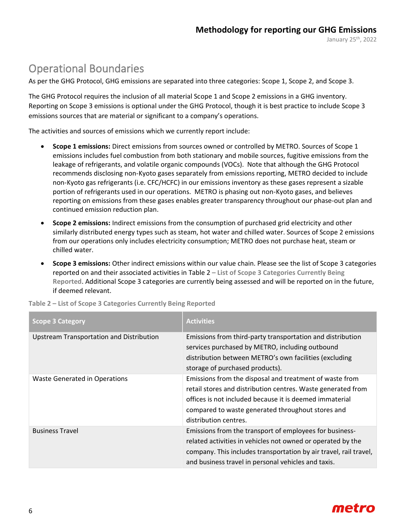January 25th, 2022

### <span id="page-5-0"></span>Operational Boundaries

As per the GHG Protocol, GHG emissions are separated into three categories: Scope 1, Scope 2, and Scope 3.

The GHG Protocol requires the inclusion of all material Scope 1 and Scope 2 emissions in a GHG inventory. Reporting on Scope 3 emissions is optional under the GHG Protocol, though it is best practice to include Scope 3 emissions sources that are material or significant to a company's operations.

The activities and sources of emissions which we currently report include:

- **Scope 1 emissions:** Direct emissions from sources owned or controlled by METRO. Sources of Scope 1 emissions includes fuel combustion from both stationary and mobile sources, fugitive emissions from the leakage of refrigerants, and volatile organic compounds (VOCs). Note that although the GHG Protocol recommends disclosing non-Kyoto gases separately from emissions reporting, METRO decided to include non-Kyoto gas refrigerants (i.e. CFC/HCFC) in our emissions inventory as these gases represent a sizable portion of refrigerants used in our operations. METRO is phasing out non-Kyoto gases, and believes reporting on emissions from these gases enables greater transparency throughout our phase-out plan and continued emission reduction plan.
- **Scope 2 emissions:** Indirect emissions from the consumption of purchased grid electricity and other similarly distributed energy types such as steam, hot water and chilled water. Sources of Scope 2 emissions from our operations only includes electricity consumption; METRO does not purchase heat, steam or chilled water.
- **Scope 3 emissions:** Other indirect emissions within our value chain. Please see the list of Scope 3 categories reported on and their associated activities in Table 2 **– [List of Scope 3 Categories Currently Being](#page-5-1)  [Reported](#page-5-1)**. Additional Scope 3 categories are currently being assessed and will be reported on in the future, if deemed relevant.

| <b>Scope 3 Category</b>                  | <b>Activities</b>                                                                                                                                                                                                                                                |
|------------------------------------------|------------------------------------------------------------------------------------------------------------------------------------------------------------------------------------------------------------------------------------------------------------------|
| Upstream Transportation and Distribution | Emissions from third-party transportation and distribution<br>services purchased by METRO, including outbound<br>distribution between METRO's own facilities (excluding<br>storage of purchased products).                                                       |
| Waste Generated in Operations            | Emissions from the disposal and treatment of waste from<br>retail stores and distribution centres. Waste generated from<br>offices is not included because it is deemed immaterial<br>compared to waste generated throughout stores and<br>distribution centres. |
| <b>Business Travel</b>                   | Emissions from the transport of employees for business-<br>related activities in vehicles not owned or operated by the<br>company. This includes transportation by air travel, rail travel,<br>and business travel in personal vehicles and taxis.               |

<span id="page-5-1"></span>**Table 2 – List of Scope 3 Categories Currently Being Reported**

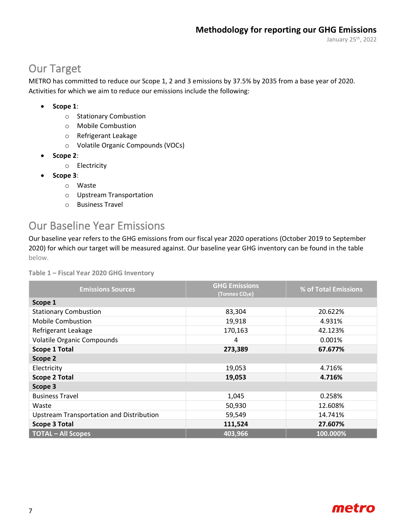January 25th, 2022

### <span id="page-6-0"></span>Our Target

METRO has committed to reduce our Scope 1, 2 and 3 emissions by 37.5% by 2035 from a base year of 2020. Activities for which we aim to reduce our emissions include the following:

#### • **Scope 1**:

- o Stationary Combustion
- o Mobile Combustion
- o Refrigerant Leakage
- o Volatile Organic Compounds (VOCs)
- **Scope 2**:
	- o Electricity
- **Scope 3**:
	- o Waste
	- o Upstream Transportation
	- o Business Travel

### <span id="page-6-1"></span>Our Baseline Year Emissions

Our baseline year refers to the GHG emissions from our fiscal year 2020 operations (October 2019 to September 2020) for which our target will be measured against. Our baseline year GHG inventory can be found in the table below.

**Table 1 – Fiscal Year 2020 GHG Inventory**

| <b>Emissions Sources</b>                 | <b>GHG Emissions</b><br>(Tonnes CO <sub>2</sub> e) | % of Total Emissions |  |  |
|------------------------------------------|----------------------------------------------------|----------------------|--|--|
| Scope 1                                  |                                                    |                      |  |  |
| <b>Stationary Combustion</b>             | 83,304                                             | 20.622%              |  |  |
| <b>Mobile Combustion</b>                 | 19,918                                             | 4.931%               |  |  |
| Refrigerant Leakage                      | 170,163                                            | 42.123%              |  |  |
| <b>Volatile Organic Compounds</b>        | 4                                                  | 0.001%               |  |  |
| <b>Scope 1 Total</b>                     | 273,389                                            | 67.677%              |  |  |
| Scope 2                                  |                                                    |                      |  |  |
| Electricity                              | 19,053                                             | 4.716%               |  |  |
| <b>Scope 2 Total</b>                     | 19,053                                             | 4.716%               |  |  |
| Scope 3                                  |                                                    |                      |  |  |
| <b>Business Travel</b>                   | 1,045                                              | 0.258%               |  |  |
| Waste                                    | 50,930                                             | 12.608%              |  |  |
| Upstream Transportation and Distribution | 59,549                                             | 14.741%              |  |  |
| <b>Scope 3 Total</b>                     | 111,524                                            | 27.607%              |  |  |
| <b>TOTAL - All Scopes</b>                | 403,966                                            | 100.000%             |  |  |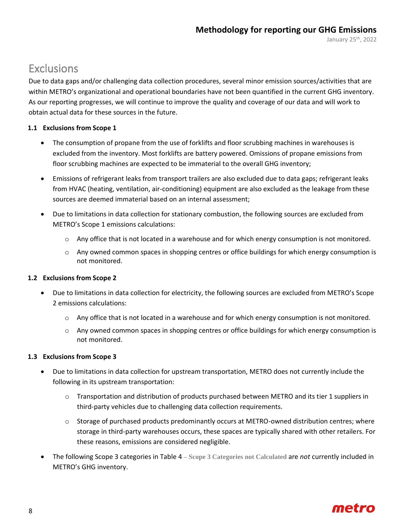### <span id="page-7-0"></span>**Exclusions**

Due to data gaps and/or challenging data collection procedures, several minor emission sources/activities that are within METRO's organizational and operational boundaries have not been quantified in the current GHG inventory. As our reporting progresses, we will continue to improve the quality and coverage of our data and will work to obtain actual data for these sources in the future.

#### **1.1 Exclusions from Scope 1**

- The consumption of propane from the use of forklifts and floor scrubbing machines in warehouses is excluded from the inventory. Most forklifts are battery powered. Omissions of propane emissions from floor scrubbing machines are expected to be immaterial to the overall GHG inventory;
- Emissions of refrigerant leaks from transport trailers are also excluded due to data gaps; refrigerant leaks from HVAC (heating, ventilation, air-conditioning) equipment are also excluded as the leakage from these sources are deemed immaterial based on an internal assessment;
- Due to limitations in data collection for stationary combustion, the following sources are excluded from METRO's Scope 1 emissions calculations:
	- o Any office that is not located in a warehouse and for which energy consumption is not monitored.
	- $\circ$  Any owned common spaces in shopping centres or office buildings for which energy consumption is not monitored.

#### **1.2 Exclusions from Scope 2**

- Due to limitations in data collection for electricity, the following sources are excluded from METRO's Scope 2 emissions calculations:
	- o Any office that is not located in a warehouse and for which energy consumption is not monitored.
	- $\circ$  Any owned common spaces in shopping centres or office buildings for which energy consumption is not monitored.

#### **1.3 Exclusions from Scope 3**

- Due to limitations in data collection for upstream transportation, METRO does not currently include the following in its upstream transportation:
	- o Transportation and distribution of products purchased between METRO and its tier 1 suppliers in third-party vehicles due to challenging data collection requirements.
	- o Storage of purchased products predominantly occurs at METRO-owned distribution centres; where storage in third-party warehouses occurs, these spaces are typically shared with other retailers. For these reasons, emissions are considered negligible.
- The following Scope 3 categories in [Table 4](#page-8-0) **– [Scope 3 Categories not Calculated](#page-8-0)** are *not* currently included in METRO's GHG inventory.

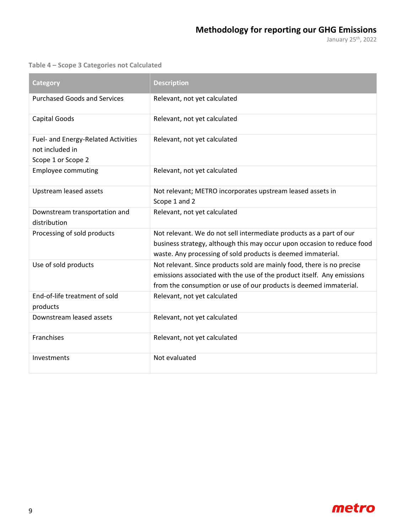<span id="page-8-0"></span>**Table 4 – Scope 3 Categories not Calculated**

| Category                                                                     | <b>Description</b>                                                                                                                                                                                                    |
|------------------------------------------------------------------------------|-----------------------------------------------------------------------------------------------------------------------------------------------------------------------------------------------------------------------|
| <b>Purchased Goods and Services</b>                                          | Relevant, not yet calculated                                                                                                                                                                                          |
| <b>Capital Goods</b>                                                         | Relevant, not yet calculated                                                                                                                                                                                          |
| Fuel- and Energy-Related Activities<br>not included in<br>Scope 1 or Scope 2 | Relevant, not yet calculated                                                                                                                                                                                          |
| <b>Employee commuting</b>                                                    | Relevant, not yet calculated                                                                                                                                                                                          |
| Upstream leased assets                                                       | Not relevant; METRO incorporates upstream leased assets in<br>Scope 1 and 2                                                                                                                                           |
| Downstream transportation and<br>distribution                                | Relevant, not yet calculated                                                                                                                                                                                          |
| Processing of sold products                                                  | Not relevant. We do not sell intermediate products as a part of our<br>business strategy, although this may occur upon occasion to reduce food<br>waste. Any processing of sold products is deemed immaterial.        |
| Use of sold products                                                         | Not relevant. Since products sold are mainly food, there is no precise<br>emissions associated with the use of the product itself. Any emissions<br>from the consumption or use of our products is deemed immaterial. |
| End-of-life treatment of sold<br>products                                    | Relevant, not yet calculated                                                                                                                                                                                          |
| Downstream leased assets                                                     | Relevant, not yet calculated                                                                                                                                                                                          |
| Franchises                                                                   | Relevant, not yet calculated                                                                                                                                                                                          |
| Investments                                                                  | Not evaluated                                                                                                                                                                                                         |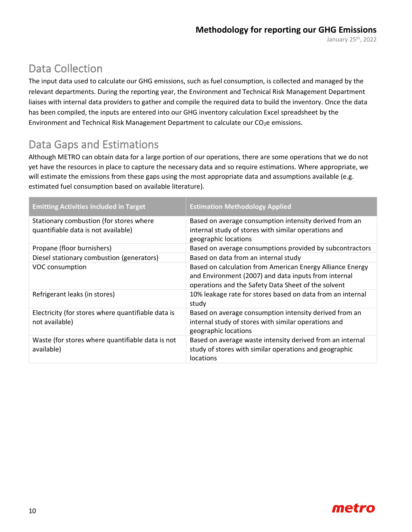## <span id="page-9-0"></span>Data Collection

The input data used to calculate our GHG emissions, such as fuel consumption, is collected and managed by the relevant departments. During the reporting year, the Environment and Technical Risk Management Department liaises with internal data providers to gather and compile the required data to build the inventory. Once the data has been compiled, the inputs are entered into our GHG inventory calculation Excel spreadsheet by the Environment and Technical Risk Management Department to calculate our  $CO<sub>2</sub>e$  emissions.

## <span id="page-9-1"></span>Data Gaps and Estimations

Although METRO can obtain data for a large portion of our operations, there are some operations that we do not yet have the resources in place to capture the necessary data and so require estimations. Where appropriate, we will estimate the emissions from these gaps using the most appropriate data and assumptions available (e.g. estimated fuel consumption based on available literature).

| <b>Emitting Activities Included in Target</b>                                  | <b>Estimation Methodology Applied</b>                                                                                                                                    |
|--------------------------------------------------------------------------------|--------------------------------------------------------------------------------------------------------------------------------------------------------------------------|
| Stationary combustion (for stores where<br>quantifiable data is not available) | Based on average consumption intensity derived from an<br>internal study of stores with similar operations and<br>geographic locations                                   |
| Propane (floor burnishers)                                                     | Based on average consumptions provided by subcontractors                                                                                                                 |
| Diesel stationary combustion (generators)                                      | Based on data from an internal study                                                                                                                                     |
| VOC consumption                                                                | Based on calculation from American Energy Alliance Energy<br>and Environment (2007) and data inputs from internal<br>operations and the Safety Data Sheet of the solvent |
| Refrigerant leaks (in stores)                                                  | 10% leakage rate for stores based on data from an internal<br>study                                                                                                      |
| Electricity (for stores where quantifiable data is<br>not available)           | Based on average consumption intensity derived from an<br>internal study of stores with similar operations and<br>geographic locations                                   |
| Waste (for stores where quantifiable data is not<br>available)                 | Based on average waste intensity derived from an internal<br>study of stores with similar operations and geographic<br>locations                                         |

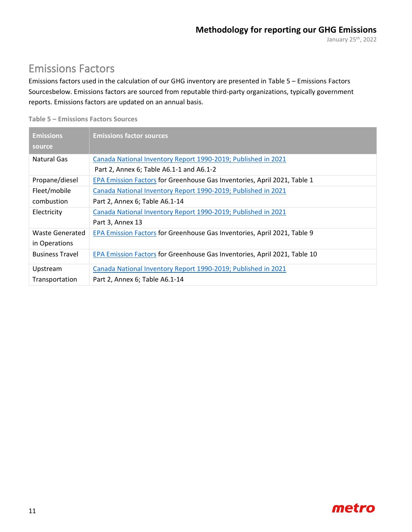### <span id="page-10-0"></span>Emissions Factors

Emissions factors used in the calculation of our GHG inventory are presented in Table 5 – [Emissions](#page-10-1) Factors [Sourcesb](#page-10-1)elow. Emissions factors are sourced from reputable third-party organizations, typically government reports. Emissions factors are updated on an annual basis.

<span id="page-10-1"></span>

| Table 5 - Emissions Factors Sources |  |
|-------------------------------------|--|
|-------------------------------------|--|

| <b>Emissions</b>       | <b>Emissions factor sources</b>                                           |
|------------------------|---------------------------------------------------------------------------|
| source                 |                                                                           |
| Natural Gas            | Canada National Inventory Report 1990-2019; Published in 2021             |
|                        | Part 2, Annex 6; Table A6.1-1 and A6.1-2                                  |
| Propane/diesel         | EPA Emission Factors for Greenhouse Gas Inventories, April 2021, Table 1  |
| Fleet/mobile           | Canada National Inventory Report 1990-2019; Published in 2021             |
| combustion             | Part 2, Annex 6; Table A6.1-14                                            |
| Electricity            | Canada National Inventory Report 1990-2019; Published in 2021             |
|                        | Part 3, Annex 13                                                          |
| Waste Generated        | EPA Emission Factors for Greenhouse Gas Inventories, April 2021, Table 9  |
| in Operations          |                                                                           |
| <b>Business Travel</b> | EPA Emission Factors for Greenhouse Gas Inventories, April 2021, Table 10 |
| Upstream               | Canada National Inventory Report 1990-2019; Published in 2021             |
| Transportation         | Part 2, Annex 6; Table A6.1-14                                            |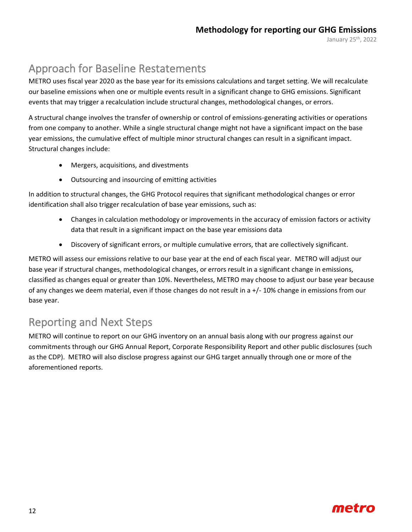## <span id="page-11-0"></span>Approach for Baseline Restatements

METRO uses fiscal year 2020 as the base year for its emissions calculations and target setting. We will recalculate our baseline emissions when one or multiple events result in a significant change to GHG emissions. Significant events that may trigger a recalculation include structural changes, methodological changes, or errors.

A structural change involves the transfer of ownership or control of emissions-generating activities or operations from one company to another. While a single structural change might not have a significant impact on the base year emissions, the cumulative effect of multiple minor structural changes can result in a significant impact. Structural changes include:

- Mergers, acquisitions, and divestments
- Outsourcing and insourcing of emitting activities

In addition to structural changes, the GHG Protocol requires that significant methodological changes or error identification shall also trigger recalculation of base year emissions, such as:

- Changes in calculation methodology or improvements in the accuracy of emission factors or activity data that result in a significant impact on the base year emissions data
- Discovery of significant errors, or multiple cumulative errors, that are collectively significant.

METRO will assess our emissions relative to our base year at the end of each fiscal year. METRO will adjust our base year if structural changes, methodological changes, or errors result in a significant change in emissions, classified as changes equal or greater than 10%. Nevertheless, METRO may choose to adjust our base year because of any changes we deem material, even if those changes do not result in a +/- 10% change in emissions from our base year.

### <span id="page-11-1"></span>Reporting and Next Steps

METRO will continue to report on our GHG inventory on an annual basis along with our progress against our commitments through our GHG Annual Report, Corporate Responsibility Report and other public disclosures (such as the CDP). METRO will also disclose progress against our GHG target annually through one or more of the aforementioned reports.

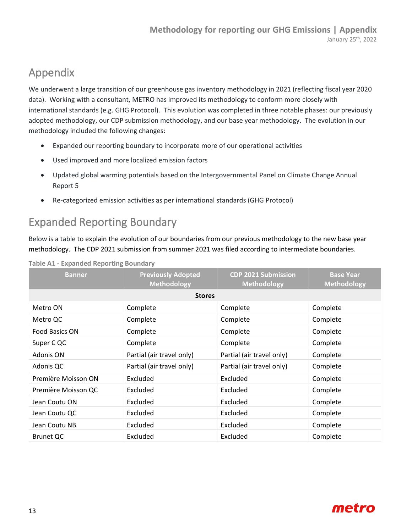### <span id="page-12-0"></span>Appendix

We underwent a large transition of our greenhouse gas inventory methodology in 2021 (reflecting fiscal year 2020 data). Working with a consultant, METRO has improved its methodology to conform more closely with international standards (e.g. GHG Protocol). This evolution was completed in three notable phases: our previously adopted methodology, our CDP submission methodology, and our base year methodology. The evolution in our methodology included the following changes:

- Expanded our reporting boundary to incorporate more of our operational activities
- Used improved and more localized emission factors
- Updated global warming potentials based on the Intergovernmental Panel on Climate Change Annual Report 5
- Re-categorized emission activities as per international standards (GHG Protocol)

## <span id="page-12-1"></span>Expanded Reporting Boundary

Below is a table to explain the evolution of our boundaries from our previous methodology to the new base year methodology. The CDP 2021 submission from summer 2021 was filed according to intermediate boundaries.

| <b>Banner</b>       | <b>Previously Adopted</b><br><b>Methodology</b> | <b>CDP 2021 Submission</b><br><b>Methodology</b> | <b>Base Year</b><br><b>Methodology</b> |
|---------------------|-------------------------------------------------|--------------------------------------------------|----------------------------------------|
|                     | <b>Stores</b>                                   |                                                  |                                        |
| Metro ON            | Complete                                        | Complete                                         | Complete                               |
| Metro QC            | Complete                                        | Complete                                         | Complete                               |
| Food Basics ON      | Complete                                        | Complete                                         | Complete                               |
| Super C QC          | Complete                                        | Complete                                         | Complete                               |
| Adonis ON           | Partial (air travel only)                       | Partial (air travel only)                        | Complete                               |
| Adonis QC           | Partial (air travel only)                       | Partial (air travel only)                        | Complete                               |
| Première Moisson ON | Excluded                                        | Excluded                                         | Complete                               |
| Première Moisson QC | Excluded                                        | Excluded                                         | Complete                               |
| Jean Coutu ON       | Excluded                                        | Excluded                                         | Complete                               |
| Jean Coutu QC       | Excluded                                        | Excluded                                         | Complete                               |
| Jean Coutu NB       | Excluded                                        | Excluded                                         | Complete                               |
| <b>Brunet QC</b>    | Excluded                                        | Excluded                                         | Complete                               |

**Table A1 - Expanded Reporting Boundary**